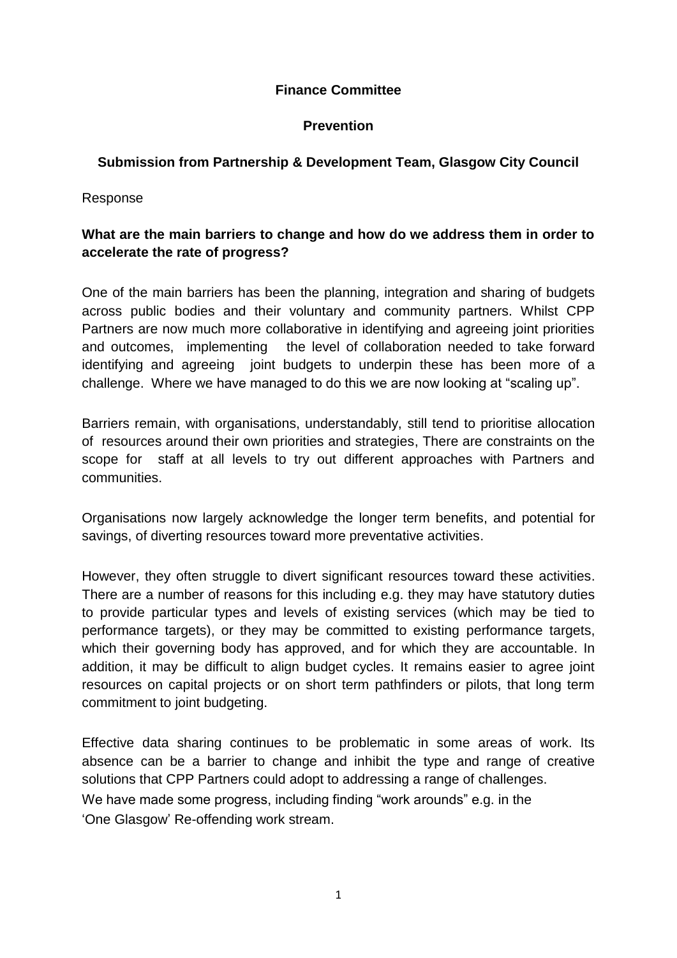### **Finance Committee**

#### **Prevention**

#### **Submission from Partnership & Development Team, Glasgow City Council**

Response

# **What are the main barriers to change and how do we address them in order to accelerate the rate of progress?**

One of the main barriers has been the planning, integration and sharing of budgets across public bodies and their voluntary and community partners. Whilst CPP Partners are now much more collaborative in identifying and agreeing joint priorities and outcomes, implementing the level of collaboration needed to take forward identifying and agreeing joint budgets to underpin these has been more of a challenge. Where we have managed to do this we are now looking at "scaling up".

Barriers remain, with organisations, understandably, still tend to prioritise allocation of resources around their own priorities and strategies, There are constraints on the scope for staff at all levels to try out different approaches with Partners and communities.

Organisations now largely acknowledge the longer term benefits, and potential for savings, of diverting resources toward more preventative activities.

However, they often struggle to divert significant resources toward these activities. There are a number of reasons for this including e.g. they may have statutory duties to provide particular types and levels of existing services (which may be tied to performance targets), or they may be committed to existing performance targets, which their governing body has approved, and for which they are accountable. In addition, it may be difficult to align budget cycles. It remains easier to agree joint resources on capital projects or on short term pathfinders or pilots, that long term commitment to joint budgeting.

Effective data sharing continues to be problematic in some areas of work. Its absence can be a barrier to change and inhibit the type and range of creative solutions that CPP Partners could adopt to addressing a range of challenges. We have made some progress, including finding "work arounds" e.g. in the 'One Glasgow' Re-offending work stream.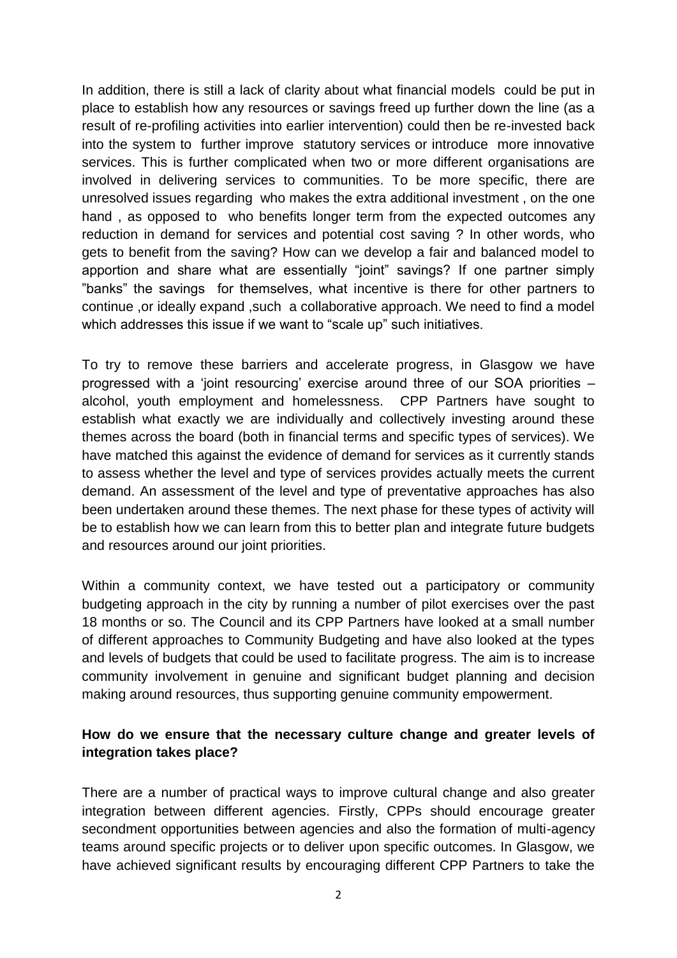In addition, there is still a lack of clarity about what financial models could be put in place to establish how any resources or savings freed up further down the line (as a result of re-profiling activities into earlier intervention) could then be re-invested back into the system to further improve statutory services or introduce more innovative services. This is further complicated when two or more different organisations are involved in delivering services to communities. To be more specific, there are unresolved issues regarding who makes the extra additional investment , on the one hand , as opposed to who benefits longer term from the expected outcomes any reduction in demand for services and potential cost saving ? In other words, who gets to benefit from the saving? How can we develop a fair and balanced model to apportion and share what are essentially "joint" savings? If one partner simply "banks" the savings for themselves, what incentive is there for other partners to continue ,or ideally expand ,such a collaborative approach. We need to find a model which addresses this issue if we want to "scale up" such initiatives.

To try to remove these barriers and accelerate progress, in Glasgow we have progressed with a 'joint resourcing' exercise around three of our SOA priorities – alcohol, youth employment and homelessness. CPP Partners have sought to establish what exactly we are individually and collectively investing around these themes across the board (both in financial terms and specific types of services). We have matched this against the evidence of demand for services as it currently stands to assess whether the level and type of services provides actually meets the current demand. An assessment of the level and type of preventative approaches has also been undertaken around these themes. The next phase for these types of activity will be to establish how we can learn from this to better plan and integrate future budgets and resources around our joint priorities.

Within a community context, we have tested out a participatory or community budgeting approach in the city by running a number of pilot exercises over the past 18 months or so. The Council and its CPP Partners have looked at a small number of different approaches to Community Budgeting and have also looked at the types and levels of budgets that could be used to facilitate progress. The aim is to increase community involvement in genuine and significant budget planning and decision making around resources, thus supporting genuine community empowerment.

### **How do we ensure that the necessary culture change and greater levels of integration takes place?**

There are a number of practical ways to improve cultural change and also greater integration between different agencies. Firstly, CPPs should encourage greater secondment opportunities between agencies and also the formation of multi-agency teams around specific projects or to deliver upon specific outcomes. In Glasgow, we have achieved significant results by encouraging different CPP Partners to take the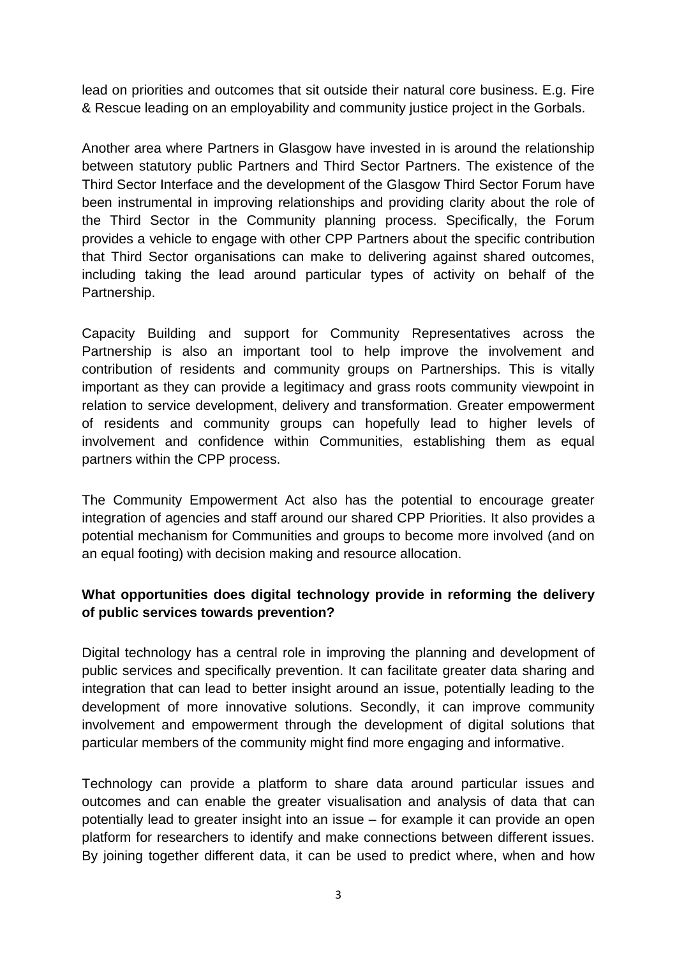lead on priorities and outcomes that sit outside their natural core business. E.g. Fire & Rescue leading on an employability and community justice project in the Gorbals.

Another area where Partners in Glasgow have invested in is around the relationship between statutory public Partners and Third Sector Partners. The existence of the Third Sector Interface and the development of the Glasgow Third Sector Forum have been instrumental in improving relationships and providing clarity about the role of the Third Sector in the Community planning process. Specifically, the Forum provides a vehicle to engage with other CPP Partners about the specific contribution that Third Sector organisations can make to delivering against shared outcomes, including taking the lead around particular types of activity on behalf of the Partnership.

Capacity Building and support for Community Representatives across the Partnership is also an important tool to help improve the involvement and contribution of residents and community groups on Partnerships. This is vitally important as they can provide a legitimacy and grass roots community viewpoint in relation to service development, delivery and transformation. Greater empowerment of residents and community groups can hopefully lead to higher levels of involvement and confidence within Communities, establishing them as equal partners within the CPP process.

The Community Empowerment Act also has the potential to encourage greater integration of agencies and staff around our shared CPP Priorities. It also provides a potential mechanism for Communities and groups to become more involved (and on an equal footing) with decision making and resource allocation.

# **What opportunities does digital technology provide in reforming the delivery of public services towards prevention?**

Digital technology has a central role in improving the planning and development of public services and specifically prevention. It can facilitate greater data sharing and integration that can lead to better insight around an issue, potentially leading to the development of more innovative solutions. Secondly, it can improve community involvement and empowerment through the development of digital solutions that particular members of the community might find more engaging and informative.

Technology can provide a platform to share data around particular issues and outcomes and can enable the greater visualisation and analysis of data that can potentially lead to greater insight into an issue – for example it can provide an open platform for researchers to identify and make connections between different issues. By joining together different data, it can be used to predict where, when and how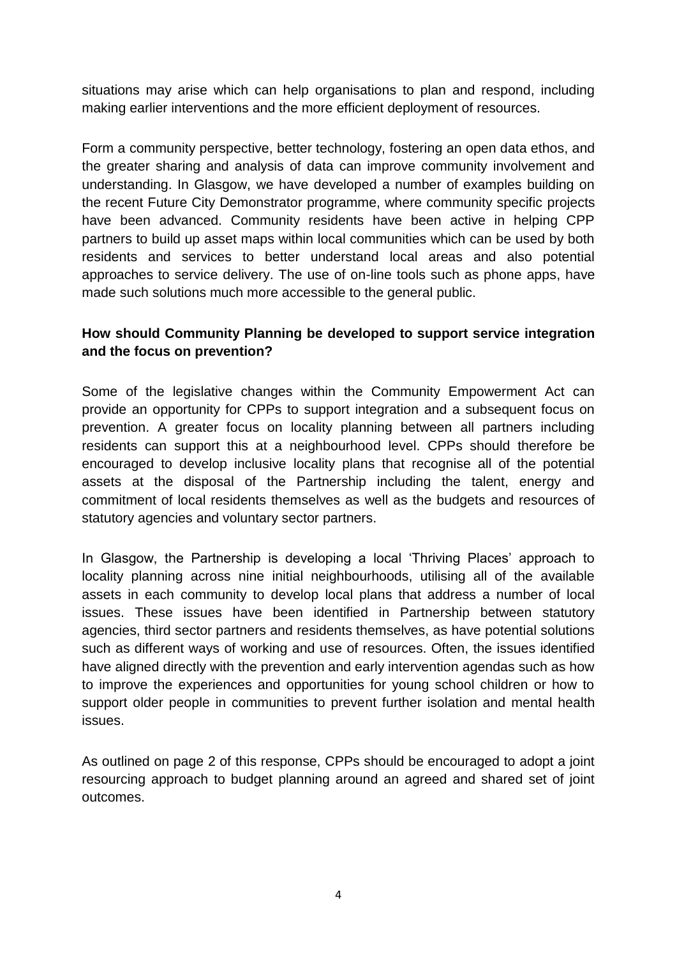situations may arise which can help organisations to plan and respond, including making earlier interventions and the more efficient deployment of resources.

Form a community perspective, better technology, fostering an open data ethos, and the greater sharing and analysis of data can improve community involvement and understanding. In Glasgow, we have developed a number of examples building on the recent Future City Demonstrator programme, where community specific projects have been advanced. Community residents have been active in helping CPP partners to build up asset maps within local communities which can be used by both residents and services to better understand local areas and also potential approaches to service delivery. The use of on-line tools such as phone apps, have made such solutions much more accessible to the general public.

## **How should Community Planning be developed to support service integration and the focus on prevention?**

Some of the legislative changes within the Community Empowerment Act can provide an opportunity for CPPs to support integration and a subsequent focus on prevention. A greater focus on locality planning between all partners including residents can support this at a neighbourhood level. CPPs should therefore be encouraged to develop inclusive locality plans that recognise all of the potential assets at the disposal of the Partnership including the talent, energy and commitment of local residents themselves as well as the budgets and resources of statutory agencies and voluntary sector partners.

In Glasgow, the Partnership is developing a local 'Thriving Places' approach to locality planning across nine initial neighbourhoods, utilising all of the available assets in each community to develop local plans that address a number of local issues. These issues have been identified in Partnership between statutory agencies, third sector partners and residents themselves, as have potential solutions such as different ways of working and use of resources. Often, the issues identified have aligned directly with the prevention and early intervention agendas such as how to improve the experiences and opportunities for young school children or how to support older people in communities to prevent further isolation and mental health issues.

As outlined on page 2 of this response, CPPs should be encouraged to adopt a joint resourcing approach to budget planning around an agreed and shared set of joint outcomes.